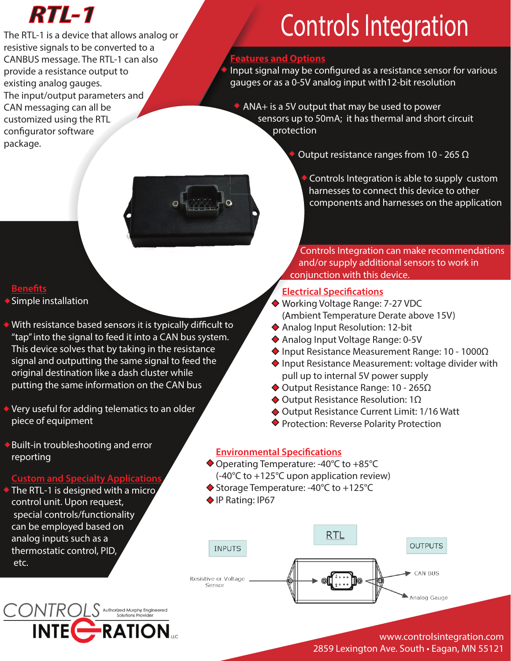## *RTL-1*

The RTL-1 is a device that allows analog or resistive signals to be converted to a CANBUS message. The RTL-1 can also provide a resistance output to existing analog gauges. The input/output parameters and CAN messaging can all be customized using the RTL configurator software package.

## Controls Integration

### **Features and Options**

Input signal may be configured as a resistance sensor for various gauges or as a 0-5V analog input with12-bit resolution

 ANA+ is a 5V output that may be used to power sensors up to 50mA; it has thermal and short circuit protection

 $\bullet$  Output resistance ranges from 10 - 265 Ω

 Controls Integration is able to supply custom harnesses to connect this device to other components and harnesses on the application

Controls Integration can make recommendations **EXECUTE AND EXECUTE A CONTROL CONTROL**<br>Cand/or supply additional sensors to work in conjunction with this device.

### **Electrical Specifications**

- ◆ Working Voltage Range: 7-27 VDC (Ambient Temperature Derate above 15V)
- ◆ Analog Input Resolution: 12-bit
- ◆ Analog Input Voltage Range: 0-5V
- $\blacklozenge$  Input Resistance Measurement Range: 10 1000Ω
- ◆ Input Resistance Measurement: voltage divider with pull up to internal 5V power supply
- $\blacklozenge$  Output Resistance Range: 10 265Ω
- $\blacklozenge$  Output Resistance Resolution: 1Ω
- ◆ Output Resistance Current Limit: 1/16 Watt
- ◆ Protection: Reverse Polarity Protection

### **Environmental Specifications**

- ◆ Operating Temperature: -40°C to +85°C (-40°C to +125°C upon application review)
- ◆ Storage Temperature: -40°C to +125°C
- ◆ IP Rating: IP67



### www.controlsintegration.com 2859 Lexington Ave. South • Eagan, MN 55121

# 

### **Benets**

- ◆ Simple installation
- $\blacklozenge$  With resistance based sensors it is typically difficult to "tap" into the signal to feed it into a CAN bus system. This device solves that by taking in the resistance signal and outputting the same signal to feed the original destination like a dash cluster while putting the same information on the CAN bus
- ◆ Very useful for adding telematics to an older piece of equipment
- Built-in troubleshooting and error reporting

### **Custom and Specialty Applications**

 $\triangle$  The RTL-1 is designed with a micro control unit. Upon request, special controls/functionality can be employed based on analog inputs such as a thermostatic control, PID, etc.